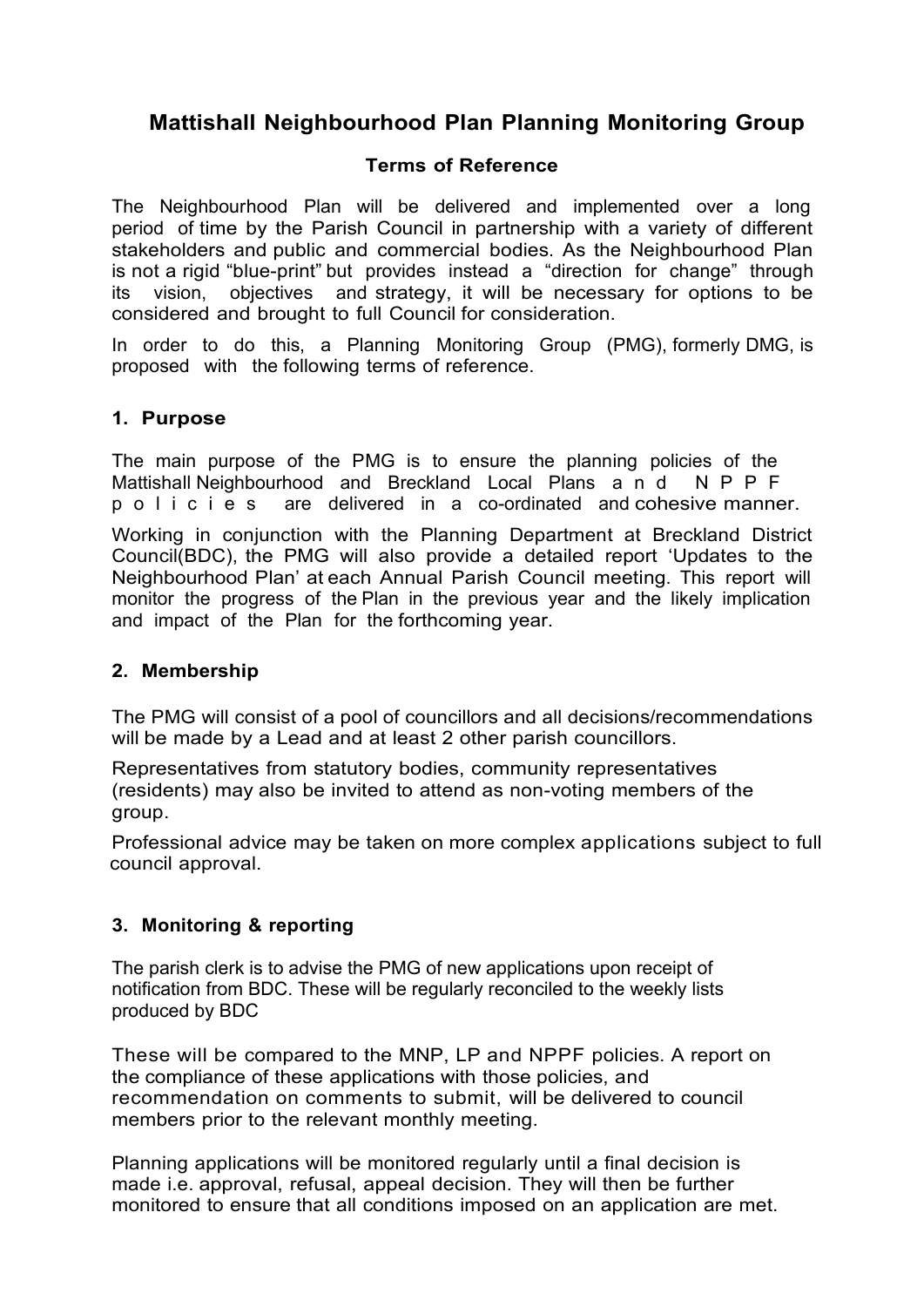# **Mattishall Neighbourhood Plan Planning Monitoring Group**

### **Terms of Reference**

The Neighbourhood Plan will be delivered and implemented over a long period of time by the Parish Council in partnership with a variety of different stakeholders and public and commercial bodies. As the Neighbourhood Plan is not a rigid "blue-print" but provides instead a "direction for change" through its vision, objectives and strategy, it will be necessary for options to be considered and brought to full Council for consideration.

In order to do this, a Planning Monitoring Group (PMG), formerly DMG, is proposed with the following terms of reference.

## **1. Purpose**

The main purpose of the PMG is to ensure the planning policies of the Mattishall Neighbourhood and Breckland Local Plans a n d N P P F p o l i c i e s are delivered in a co-ordinated and cohesive manner.

Working in conjunction with the Planning Department at Breckland District Council(BDC), the PMG will also provide a detailed report 'Updates to the Neighbourhood Plan' at each Annual Parish Council meeting. This report will monitor the progress of the Plan in the previous year and the likely implication and impact of the Plan for the forthcoming year.

#### **2. Membership**

The PMG will consist of a pool of councillors and all decisions/recommendations will be made by a Lead and at least 2 other parish councillors.

Representatives from statutory bodies, community representatives (residents) may also be invited to attend as non-voting members of the group.

Professional advice may be taken on more complex applications subject to full council approval.

## **3. Monitoring & reporting**

The parish clerk is to advise the PMG of new applications upon receipt of notification from BDC. These will be regularly reconciled to the weekly lists produced by BDC

These will be compared to the MNP, LP and NPPF policies. A report on the compliance of these applications with those policies, and recommendation on comments to submit, will be delivered to council members prior to the relevant monthly meeting.

Planning applications will be monitored regularly until a final decision is made i.e. approval, refusal, appeal decision. They will then be further monitored to ensure that all conditions imposed on an application are met.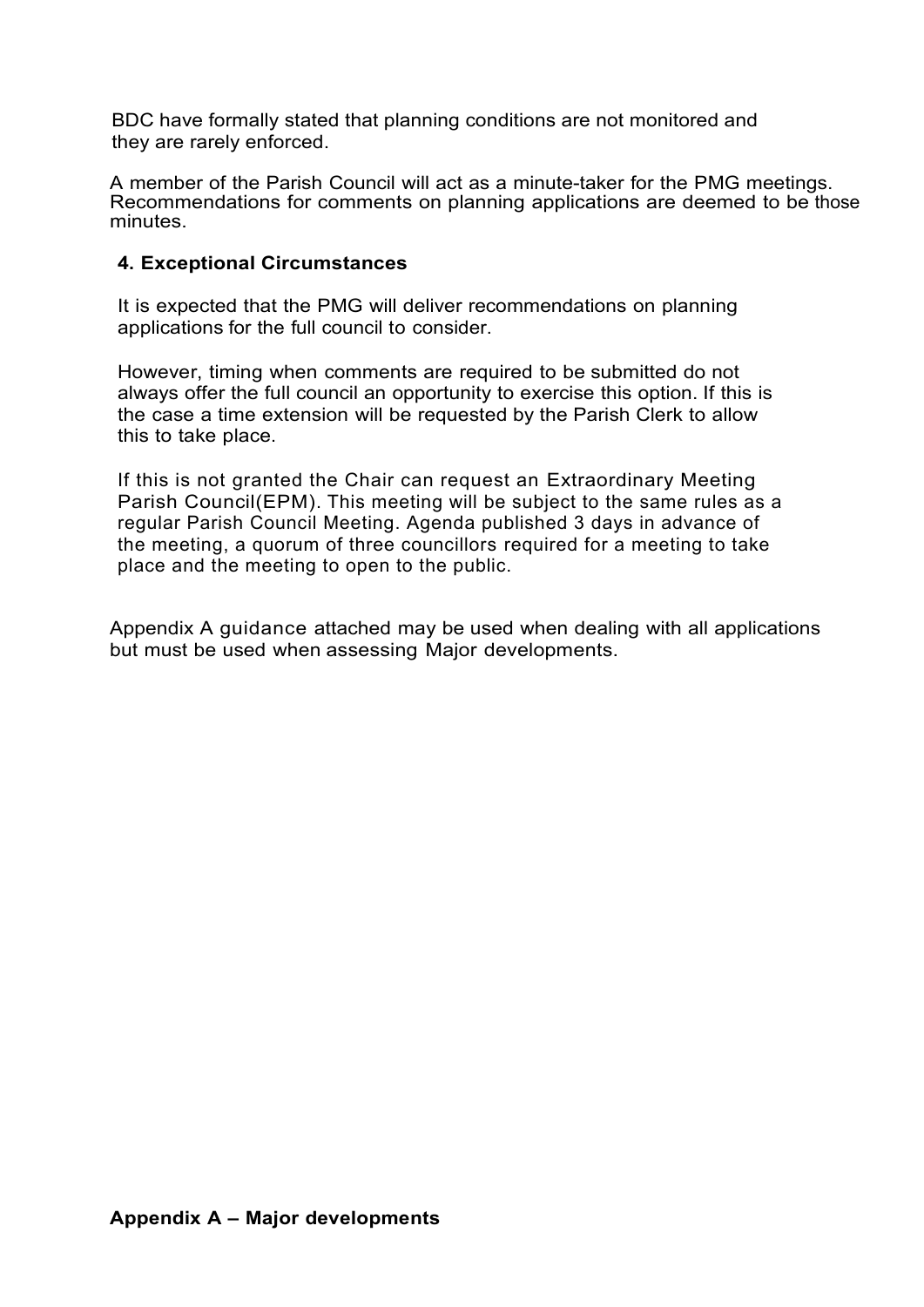BDC have formally stated that planning conditions are not monitored and they are rarely enforced.

A member of the Parish Council will act as a minute-taker for the PMG meetings. Recommendations for comments on planning applications are deemed to be those minutes.

## **4. Exceptional Circumstances**

It is expected that the PMG will deliver recommendations on planning applications for the full council to consider.

However, timing when comments are required to be submitted do not always offer the full council an opportunity to exercise this option. If this is the case a time extension will be requested by the Parish Clerk to allow this to take place.

If this is not granted the Chair can request an Extraordinary Meeting Parish Council(EPM). This meeting will be subject to the same rules as a regular Parish Council Meeting. Agenda published 3 days in advance of the meeting, a quorum of three councillors required for a meeting to take place and the meeting to open to the public.

Appendix A guidance attached may be used when dealing with all applications but must be used when assessing Major developments.